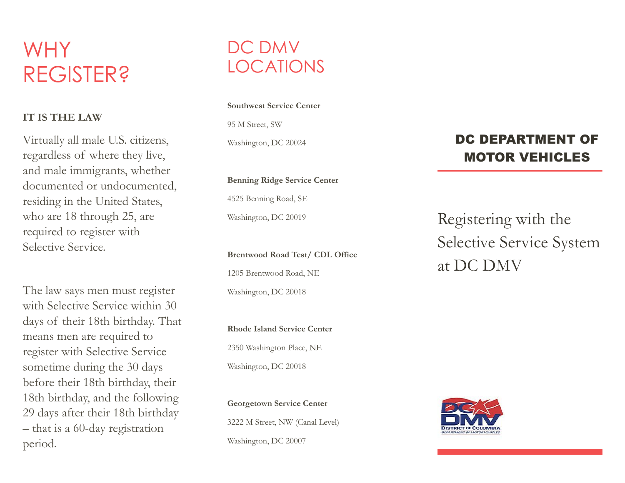# WHY REGISTER?

#### **IT IS THE LAW**

Virtually all male U.S. citizens, regardless of where they live, and male immigrants, whether documented or undocumented, residing in the United States, who are 18 through 25, are required to register with Selective Service.

The law says men must register with Selective Service within 30 days of their 18th birthday. That means men are required to register with Selective Service sometime during the 30 days before their 18th birthday, their 18th birthday, and the following 29 days after their 18th birthday – that is a 60-day registration period **.**

## DC DMV LOCATIONS

#### **Southwest Service Center**

95 M Street, SW Washington, DC 20024

**Benning Ridge Service Center** 

4525 Benning Road, SE Washington, DC 20019

**Brentwood Road Test/ CDL Office**

1205 Brentwood Road, NE Washington, DC 20018

**Rhode Island Service Center**  2350 Washington Place, NE Washington, DC 20018

**Georgetown Service Center** 3222 M Street, NW (Canal Level) Washington, DC 20007

#### DC DEPARTMENT OF MOTOR VEHICLES

Registering with the Selective Service System at DC DMV